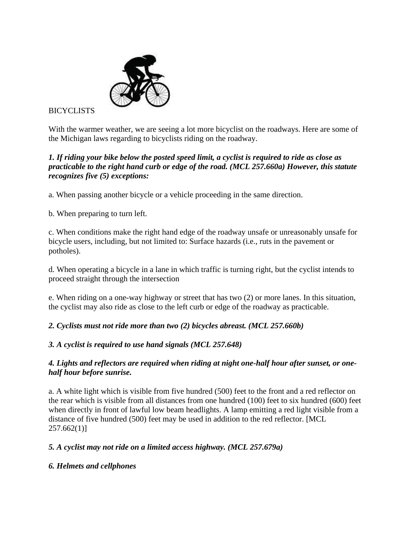

**BICYCLISTS** 

With the warmer weather, we are seeing a lot more bicyclist on the roadways. Here are some of the Michigan laws regarding to bicyclists riding on the roadway.

#### *1. If riding your bike below the posted speed limit, a cyclist is required to ride as close as practicable to the right hand curb or edge of the road. (MCL 257.660a) However, this statute recognizes five (5) exceptions:*

a. When passing another bicycle or a vehicle proceeding in the same direction.

b. When preparing to turn left.

c. When conditions make the right hand edge of the roadway unsafe or unreasonably unsafe for bicycle users, including, but not limited to: Surface hazards (i.e., ruts in the pavement or potholes).

d. When operating a bicycle in a lane in which traffic is turning right, but the cyclist intends to proceed straight through the intersection

e. When riding on a one-way highway or street that has two (2) or more lanes. In this situation, the cyclist may also ride as close to the left curb or edge of the roadway as practicable.

*2. Cyclists must not ride more than two (2) bicycles abreast. (MCL 257.660b)*

*3. A cyclist is required to use hand signals (MCL 257.648)*

#### *4. Lights and reflectors are required when riding at night one-half hour after sunset, or onehalf hour before sunrise.*

a. A white light which is visible from five hundred (500) feet to the front and a red reflector on the rear which is visible from all distances from one hundred (100) feet to six hundred (600) feet when directly in front of lawful low beam headlights. A lamp emitting a red light visible from a distance of five hundred (500) feet may be used in addition to the red reflector. [MCL  $257.662(1)$ ]

*5. A cyclist may not ride on a limited access highway. (MCL 257.679a)*

#### *6. Helmets and cellphones*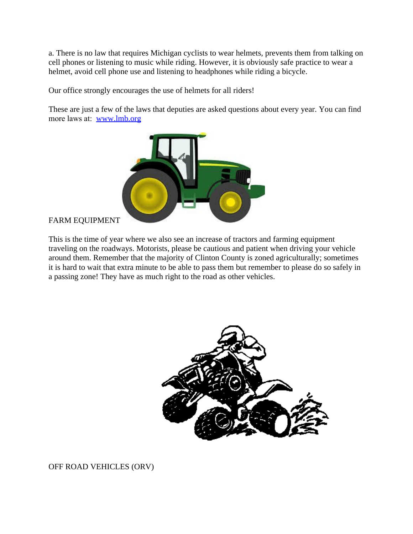a. There is no law that requires Michigan cyclists to wear helmets, prevents them from talking on cell phones or listening to music while riding. However, it is obviously safe practice to wear a helmet, avoid cell phone use and listening to headphones while riding a bicycle.

Our office strongly encourages the use of helmets for all riders!

These are just a few of the laws that deputies are asked questions about every year. You can find more laws at: [www.lmb.org](http://lmb.org)



#### FARM EQUIPMENT

This is the time of year where we also see an increase of tractors and farming equipment traveling on the roadways. Motorists, please be cautious and patient when driving your vehicle around them. Remember that the majority of Clinton County is zoned agriculturally; sometimes it is hard to wait that extra minute to be able to pass them but remember to please do so safely in a passing zone! They have as much right to the road as other vehicles.



OFF ROAD VEHICLES (ORV)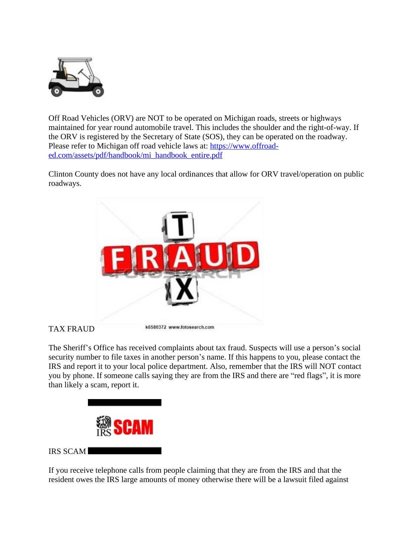

Off Road Vehicles (ORV) are NOT to be operated on Michigan roads, streets or highways maintained for year round automobile travel. This includes the shoulder and the right-of-way. If the ORV is registered by the Secretary of State (SOS), they can be operated on the roadway. Please refer to Michigan off road vehicle laws at: [https://www.offroad](https://www.offroad-ed.com/assets/pdf/handbook/mi_handbook_entire.pdf)ed.com/assets/pdf/handbook/mi\_handbook\_entire.pdf

Clinton County does not have any local ordinances that allow for ORV travel/operation on public roadways.



#### TAX FRAUD

The Sheriff's Office has received complaints about tax fraud. Suspects will use a person's social security number to file taxes in another person's name. If this happens to you, please contact the IRS and report it to your local police department. Also, remember that the IRS will NOT contact you by phone. If someone calls saying they are from the IRS and there are "red flags", it is more than likely a scam, report it.



#### IRS SCAM

If you receive telephone calls from people claiming that they are from the IRS and that the resident owes the IRS large amounts of money otherwise there will be a lawsuit filed against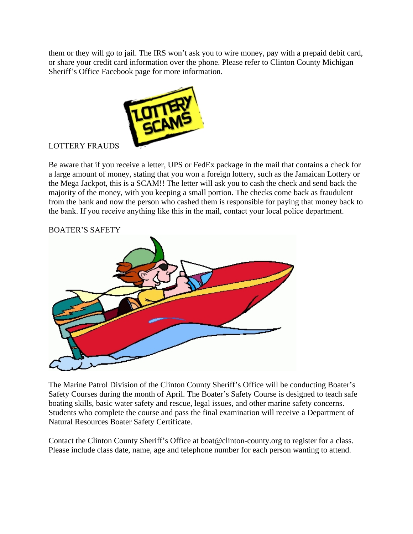them or they will go to jail. The IRS won't ask you to wire money, pay with a prepaid debit card, or share your credit card information over the phone. Please refer to Clinton County Michigan Sheriff's Office Facebook page for more information.



## LOTTERY FRAUDS

Be aware that if you receive a letter, UPS or FedEx package in the mail that contains a check for a large amount of money, stating that you won a foreign lottery, such as the Jamaican Lottery or the Mega Jackpot, this is a SCAM!! The letter will ask you to cash the check and send back the majority of the money, with you keeping a small portion. The checks come back as fraudulent from the bank and now the person who cashed them is responsible for paying that money back to the bank. If you receive anything like this in the mail, contact your local police department.



#### BOATER'S SAFETY

The Marine Patrol Division of the Clinton County Sheriff's Office will be conducting Boater's Safety Courses during the month of April. The Boater's Safety Course is designed to teach safe boating skills, basic water safety and rescue, legal issues, and other marine safety concerns. Students who complete the course and pass the final examination will receive a Department of Natural Resources Boater Safety Certificate.

Contact the Clinton County Sheriff's Office at boat@clinton-county.org to register for a class. Please include class date, name, age and telephone number for each person wanting to attend.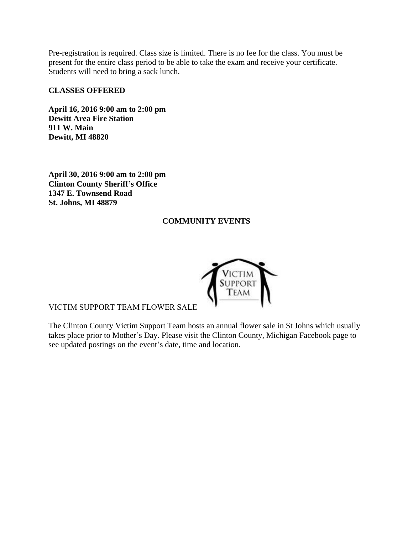Pre-registration is required. Class size is limited. There is no fee for the class. You must be present for the entire class period to be able to take the exam and receive your certificate. Students will need to bring a sack lunch.

#### **CLASSES OFFERED**

**April 16, 2016 9:00 am to 2:00 pm Dewitt Area Fire Station 911 W. Main Dewitt, MI 48820**

**April 30, 2016 9:00 am to 2:00 pm Clinton County Sheriff's Office 1347 E. Townsend Road St. Johns, MI 48879**

#### **COMMUNITY EVENTS**



VICTIM SUPPORT TEAM FLOWER SALE

The Clinton County Victim Support Team hosts an annual flower sale in St Johns which usually takes place prior to Mother's Day. Please visit the Clinton County, Michigan Facebook page to see updated postings on the event's date, time and location.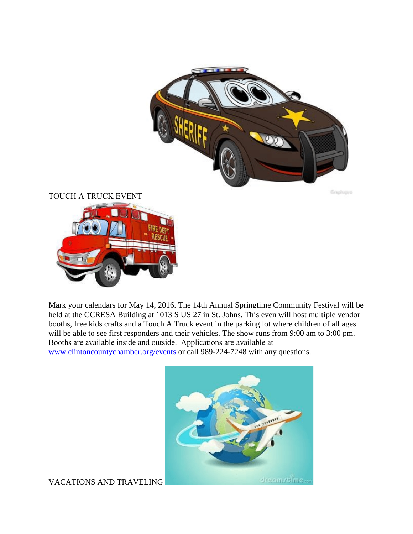

Geophique

TOUCH A TRUCK EVENT



Mark your calendars for May 14, 2016. The 14th Annual Springtime Community Festival will be held at the CCRESA Building at 1013 S US 27 in St. Johns. This even will host multiple vendor booths, free kids crafts and a Touch A Truck event in the parking lot where children of all ages will be able to see first responders and their vehicles. The show runs from 9:00 am to 3:00 pm. Booths are available inside and outside. Applications are available at [www.clintoncountychamber.org/events](http://www.clintoncountychamber.org/events) or call 989-224-7248 with any questions.



VACATIONS AND TRAVELING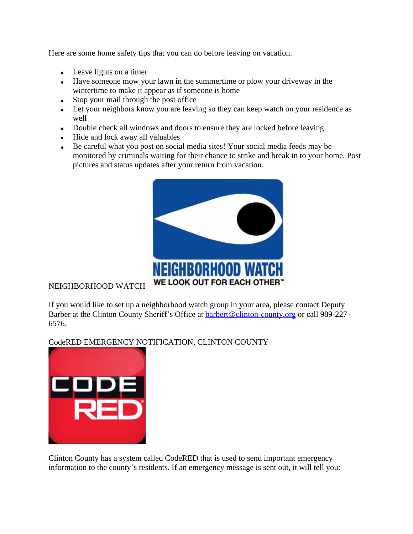Here are some home safety tips that you can do before leaving on vacation.

- Leave lights on a timer
- Have someone mow your lawn in the summertime or plow your driveway in the wintertime to make it appear as if someone is home
- Stop your mail through the post office
- Let your neighbors know you are leaving so they can keep watch on your residence as well
- Double check all windows and doors to ensure they are locked before leaving
- Hide and lock away all valuables
- Be careful what you post on social media sites! Your social media feeds may be monitored by criminals waiting for their chance to strike and break in to your home. Post pictures and status updates after your return from vacation.



## NEIGHBORHOOD WATCH

If you would like to set up a neighborhood watch group in your area, please contact Deputy Barber at the Clinton County Sheriff's Office at **barbert@clinton-county.org** or call 989-227-6576.

#### CodeRED EMERGENCY NOTIFICATION, CLINTON COUNTY



Clinton County has a system called CodeRED that is used to send important emergency information to the county's residents. If an emergency message is sent out, it will tell you: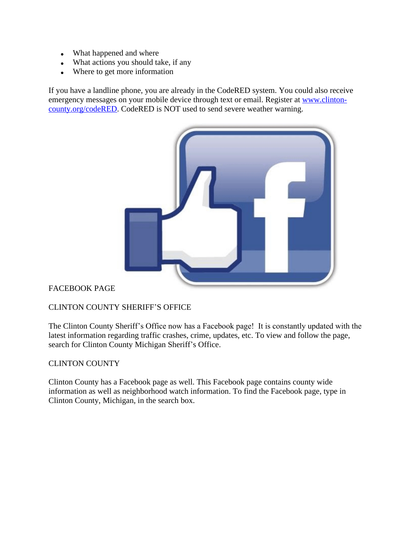- What happened and where
- What actions you should take, if any
- Where to get more information

If you have a landline phone, you are already in the CodeRED system. You could also receive emergency messages on your mobile device through text or email. Register at [www.clinton](https://www.clinton-county.org/codered)county.org/codeRED. CodeRED is NOT used to send severe weather warning.



#### FACEBOOK PAGE

## CLINTON COUNTY SHERIFF'S OFFICE

The Clinton County Sheriff's Office now has a Facebook page! It is constantly updated with the latest information regarding traffic crashes, crime, updates, etc. To view and follow the page, search for Clinton County Michigan Sheriff's Office.

#### CLINTON COUNTY

Clinton County has a Facebook page as well. This Facebook page contains county wide information as well as neighborhood watch information. To find the Facebook page, type in Clinton County, Michigan, in the search box.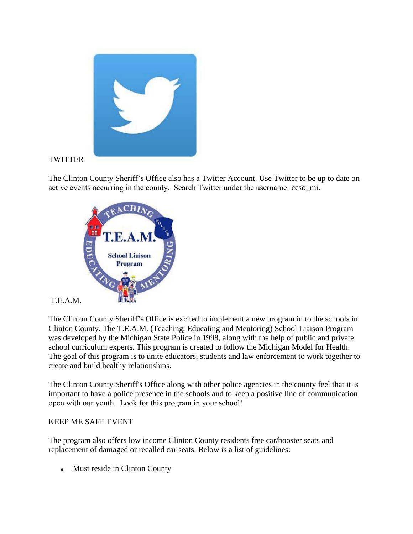

## **TWITTER**

The Clinton County Sheriff's Office also has a Twitter Account. Use Twitter to be up to date on active events occurring in the county. Search Twitter under the username: ccso\_mi.



#### T.E.A.M.

The Clinton County Sheriff's Office is excited to implement a new program in to the schools in Clinton County. The T.E.A.M. (Teaching, Educating and Mentoring) School Liaison Program was developed by the Michigan State Police in 1998, along with the help of public and private school curriculum experts. This program is created to follow the Michigan Model for Health. The goal of this program is to unite educators, students and law enforcement to work together to create and build healthy relationships.

The Clinton County Sheriff's Office along with other police agencies in the county feel that it is important to have a police presence in the schools and to keep a positive line of communication open with our youth. Look for this program in your school!

#### KEEP ME SAFE EVENT

The program also offers low income Clinton County residents free car/booster seats and replacement of damaged or recalled car seats. Below is a list of guidelines:

• Must reside in Clinton County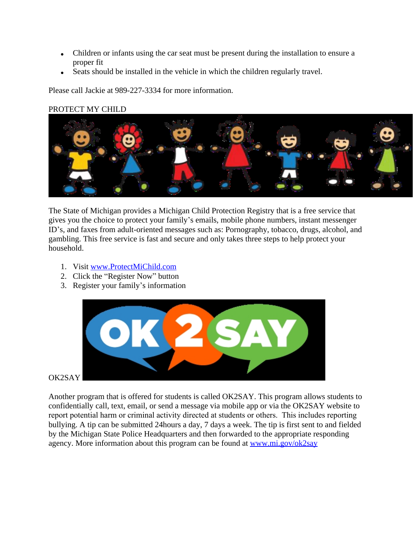- Children or infants using the car seat must be present during the installation to ensure a proper fit
- Seats should be installed in the vehicle in which the children regularly travel.

Please call Jackie at 989-227-3334 for more information.

#### PROTECT MY CHILD



The State of Michigan provides a Michigan Child Protection Registry that is a free service that gives you the choice to protect your family's emails, mobile phone numbers, instant messenger ID's, and faxes from adult-oriented messages such as: Pornography, tobacco, drugs, alcohol, and gambling. This free service is fast and secure and only takes three steps to help protect your household.

- 1. Visit [www.ProtectMiChild.com](http://www.ProtectMiChild.com)
- 2. Click the "Register Now" button
- 3. Register your family's information



OK2SAY

Another program that is offered for students is called OK2SAY. This program allows students to confidentially call, text, email, or send a message via mobile app or via the OK2SAY website to report potential harm or criminal activity directed at students or others. This includes reporting bullying. A tip can be submitted 24hours a day, 7 days a week. The tip is first sent to and fielded by the Michigan State Police Headquarters and then forwarded to the appropriate responding agency. More information about this program can be found at [www.mi.gov/ok2say](http://www.mi.gov/ok2say)